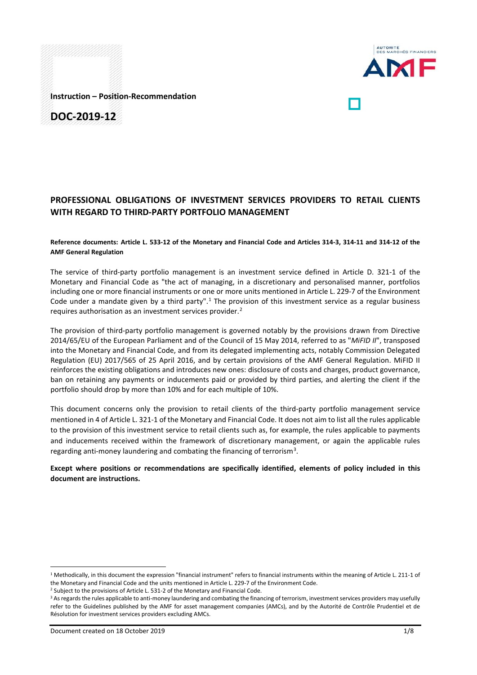

**Instruction – Position-Recommendation**

**DOC-2019-12**

# **PROFESSIONAL OBLIGATIONS OF INVESTMENT SERVICES PROVIDERS TO RETAIL CLIENTS WITH REGARD TO THIRD-PARTY PORTFOLIO MANAGEMENT**

#### **Reference documents: Article L. 533-12 of the Monetary and Financial Code and Articles 314-3, 314-11 and 314-12 of the AMF General Regulation**

The service of third-party portfolio management is an investment service defined in Article D. 321-1 of the Monetary and Financial Code as "the act of managing, in a discretionary and personalised manner, portfolios including one or more financial instruments or one or more units mentioned in Article L. 229-7 of the Environment Code under a mandate given by a third party".<sup>[1](#page-0-0)</sup> The provision of this investment service as a regular business requires authorisation as an investment services provider.<sup>[2](#page-0-1)</sup>

The provision of third-party portfolio management is governed notably by the provisions drawn from Directive 2014/65/EU of the European Parliament and of the Council of 15 May 2014, referred to as "*MiFID II*", transposed into the Monetary and Financial Code, and from its delegated implementing acts, notably Commission Delegated Regulation (EU) 2017/565 of 25 April 2016, and by certain provisions of the AMF General Regulation. MiFID II reinforces the existing obligations and introduces new ones: disclosure of costs and charges, product governance, ban on retaining any payments or inducements paid or provided by third parties, and alerting the client if the portfolio should drop by more than 10% and for each multiple of 10%.

This document concerns only the provision to retail clients of the third-party portfolio management service mentioned in 4 of Article L. 321-1 of the Monetary and Financial Code. It does not aim to list all the rules applicable to the provision of this investment service to retail clients such as, for example, the rules applicable to payments and inducements received within the framework of discretionary management, or again the applicable rules regarding anti-money laundering and combating the financing of terrorism<sup>[3](#page-0-2)</sup>.

## **Except where positions or recommendations are specifically identified, elements of policy included in this document are instructions.**

<span id="page-0-0"></span><sup>&</sup>lt;sup>1</sup> Methodically, in this document the expression "financial instrument" refers to financial instruments within the meaning of Article L. 211-1 of the Monetary and Financial Code and the units mentioned in Article L. 229-7 of the Environment Code.

<span id="page-0-1"></span><sup>&</sup>lt;sup>2</sup> Subject to the provisions of Article L. 531-2 of the Monetary and Financial Code.

<span id="page-0-2"></span><sup>&</sup>lt;sup>3</sup> As regards the rules applicable to anti-money laundering and combating the financing of terrorism, investment services providers may usefully refer to the Guidelines published by the AMF for asset management companies (AMCs), and by the Autorité de Contrôle Prudentiel et de Résolution for investment services providers excluding AMCs.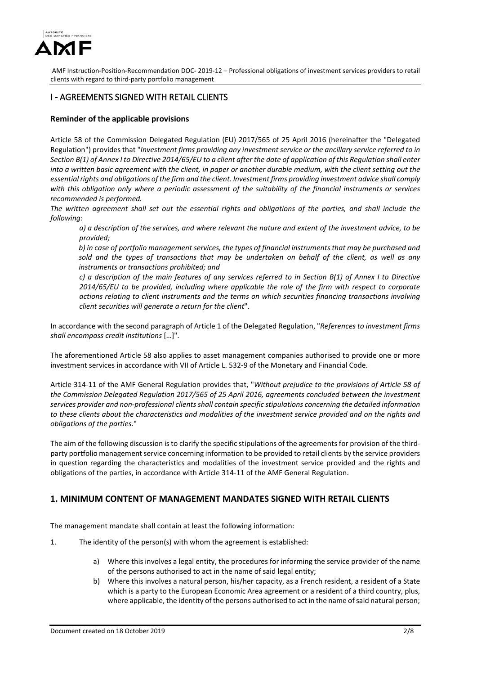

## I - AGREEMENTS SIGNED WITH RETAIL CLIENTS

## **Reminder of the applicable provisions**

Article 58 of the Commission Delegated Regulation (EU) 2017/565 of 25 April 2016 (hereinafter the "Delegated Regulation") provides that "*Investment firms providing any investment service or the ancillary service referred to in Section B(1) of Annex I to Directive 2014/65/EU to a client after the date of application of this Regulation shall enter into a written basic agreement with the client, in paper or another durable medium, with the client setting out the essential rights and obligations of the firm and the client. Investment firms providing investment advice shall comply with this obligation only where a periodic assessment of the suitability of the financial instruments or services recommended is performed.*

*The written agreement shall set out the essential rights and obligations of the parties, and shall include the following:* 

*a) a description of the services, and where relevant the nature and extent of the investment advice, to be provided;* 

*b) in case of portfolio management services, the types of financial instruments that may be purchased and sold and the types of transactions that may be undertaken on behalf of the client, as well as any instruments or transactions prohibited; and*

*c) a description of the main features of any services referred to in Section B(1) of Annex I to Directive 2014/65/EU to be provided, including where applicable the role of the firm with respect to corporate actions relating to client instruments and the terms on which securities financing transactions involving client securities will generate a return for the client*".

In accordance with the second paragraph of Article 1 of the Delegated Regulation, "*References to investment firms shall encompass credit institutions* […]".

The aforementioned Article 58 also applies to asset management companies authorised to provide one or more investment services in accordance with VII of Article L. 532-9 of the Monetary and Financial Code.

Article 314-11 of the AMF General Regulation provides that, "*Without prejudice to the provisions of Article 58 of the Commission Delegated Regulation 2017/565 of 25 April 2016, agreements concluded between the investment services provider and non-professional clients shall contain specific stipulations concerning the detailed information*  to these clients about the characteristics and modalities of the investment service provided and on the rights and *obligations of the parties*."

The aim of the following discussion is to clarify the specific stipulations of the agreements for provision of the thirdparty portfolio management service concerning information to be provided to retail clients by the service providers in question regarding the characteristics and modalities of the investment service provided and the rights and obligations of the parties, in accordance with Article 314-11 of the AMF General Regulation.

# **1. MINIMUM CONTENT OF MANAGEMENT MANDATES SIGNED WITH RETAIL CLIENTS**

The management mandate shall contain at least the following information:

- 1. The identity of the person(s) with whom the agreement is established:
	- a) Where this involves a legal entity, the procedures for informing the service provider of the name of the persons authorised to act in the name of said legal entity;
	- b) Where this involves a natural person, his/her capacity, as a French resident, a resident of a State which is a party to the European Economic Area agreement or a resident of a third country, plus, where applicable, the identity of the persons authorised to act in the name of said natural person;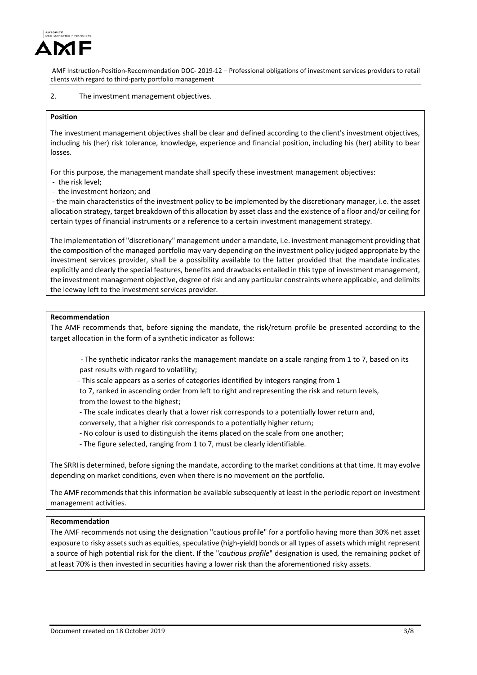

#### 2. The investment management objectives.

#### **Position**

The investment management objectives shall be clear and defined according to the client's investment objectives, including his (her) risk tolerance, knowledge, experience and financial position, including his (her) ability to bear losses.

For this purpose, the management mandate shall specify these investment management objectives:

- the risk level;
- the investment horizon; and

- the main characteristics of the investment policy to be implemented by the discretionary manager, i.e. the asset allocation strategy, target breakdown of this allocation by asset class and the existence of a floor and/or ceiling for certain types of financial instruments or a reference to a certain investment management strategy.

The implementation of "discretionary" management under a mandate, i.e. investment management providing that the composition of the managed portfolio may vary depending on the investment policy judged appropriate by the investment services provider, shall be a possibility available to the latter provided that the mandate indicates explicitly and clearly the special features, benefits and drawbacks entailed in this type of investment management, the investment management objective, degree of risk and any particular constraints where applicable, and delimits the leeway left to the investment services provider.

#### **Recommendation**

The AMF recommends that, before signing the mandate, the risk/return profile be presented according to the target allocation in the form of a synthetic indicator as follows:

- The synthetic indicator ranks the management mandate on a scale ranging from 1 to 7, based on its past results with regard to volatility;

- This scale appears as a series of categories identified by integers ranging from 1

 to 7, ranked in ascending order from left to right and representing the risk and return levels, from the lowest to the highest;

- The scale indicates clearly that a lower risk corresponds to a potentially lower return and,
- conversely, that a higher risk corresponds to a potentially higher return;
- No colour is used to distinguish the items placed on the scale from one another;
- The figure selected, ranging from 1 to 7, must be clearly identifiable.

The SRRI is determined, before signing the mandate, according to the market conditions at that time. It may evolve depending on market conditions, even when there is no movement on the portfolio.

The AMF recommends that this information be available subsequently at least in the periodic report on investment management activities.

#### **Recommendation**

The AMF recommends not using the designation "cautious profile" for a portfolio having more than 30% net asset exposure to risky assets such as equities, speculative (high-yield) bonds or all types of assets which might represent a source of high potential risk for the client. If the "*cautious profile*" designation is used, the remaining pocket of at least 70% is then invested in securities having a lower risk than the aforementioned risky assets.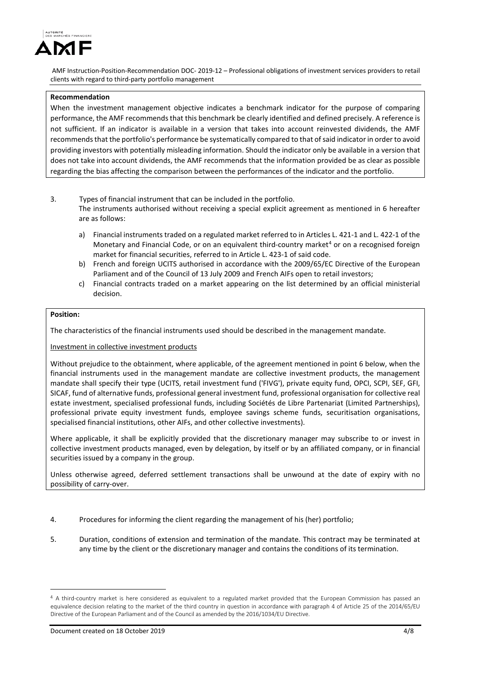

### **Recommendation**

When the investment management objective indicates a benchmark indicator for the purpose of comparing performance, the AMF recommends that this benchmark be clearly identified and defined precisely. A reference is not sufficient. If an indicator is available in a version that takes into account reinvested dividends, the AMF recommends that the portfolio's performance be systematically compared to that of said indicator in order to avoid providing investors with potentially misleading information. Should the indicator only be available in a version that does not take into account dividends, the AMF recommends that the information provided be as clear as possible regarding the bias affecting the comparison between the performances of the indicator and the portfolio.

- 3. Types of financial instrument that can be included in the portfolio. The instruments authorised without receiving a special explicit agreement as mentioned in 6 hereafter are as follows:
	- a) Financial instruments traded on a regulated market referred to in Articles L. 421-1 and L. 422-1 of the Monetary and Financial Code, or on an equivalent third-country market<sup>[4](#page-3-0)</sup> or on a recognised foreign market for financial securities, referred to in Article L. 423-1 of said code.
	- b) French and foreign UCITS authorised in accordance with the 2009/65/EC Directive of the European Parliament and of the Council of 13 July 2009 and French AIFs open to retail investors;
	- c) Financial contracts traded on a market appearing on the list determined by an official ministerial decision.

#### **Position:**

The characteristics of the financial instruments used should be described in the management mandate.

Investment in collective investment products

Without prejudice to the obtainment, where applicable, of the agreement mentioned in point 6 below, when the financial instruments used in the management mandate are collective investment products, the management mandate shall specify their type (UCITS, retail investment fund ('FIVG'), private equity fund, OPCI, SCPI, SEF, GFI, SICAF, fund of alternative funds, professional general investment fund, professional organisation for collective real estate investment, specialised professional funds, including Sociétés de Libre Partenariat (Limited Partnerships), professional private equity investment funds, employee savings scheme funds, securitisation organisations, specialised financial institutions, other AIFs, and other collective investments).

Where applicable, it shall be explicitly provided that the discretionary manager may subscribe to or invest in collective investment products managed, even by delegation, by itself or by an affiliated company, or in financial securities issued by a company in the group.

Unless otherwise agreed, deferred settlement transactions shall be unwound at the date of expiry with no possibility of carry-over.

- 4. Procedures for informing the client regarding the management of his (her) portfolio;
- 5. Duration, conditions of extension and termination of the mandate. This contract may be terminated at any time by the client or the discretionary manager and contains the conditions of its termination.

 $\overline{\phantom{a}}$ 

<span id="page-3-0"></span><sup>4</sup> A third-country market is here considered as equivalent to a regulated market provided that the European Commission has passed an equivalence decision relating to the market of the third country in question in accordance with paragraph 4 of Article 25 of the 2014/65/EU Directive of the European Parliament and of the Council as amended by the 2016/1034/EU Directive.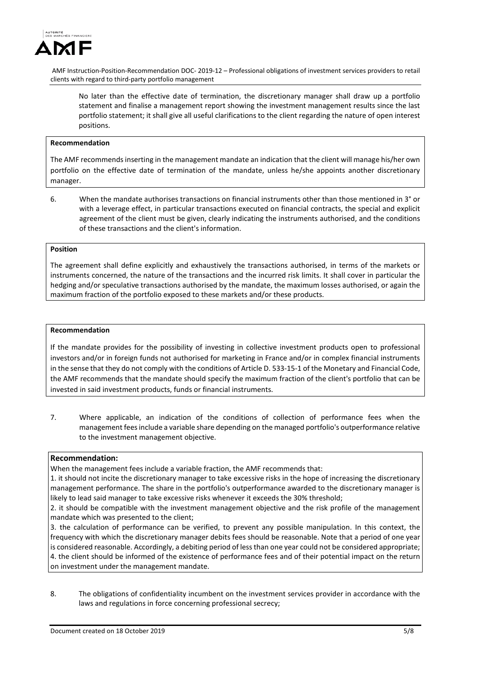

No later than the effective date of termination, the discretionary manager shall draw up a portfolio statement and finalise a management report showing the investment management results since the last portfolio statement; it shall give all useful clarifications to the client regarding the nature of open interest positions.

#### **Recommendation**

The AMF recommends inserting in the management mandate an indication that the client will manage his/her own portfolio on the effective date of termination of the mandate, unless he/she appoints another discretionary manager.

6. When the mandate authorises transactions on financial instruments other than those mentioned in 3° or with a leverage effect, in particular transactions executed on financial contracts, the special and explicit agreement of the client must be given, clearly indicating the instruments authorised, and the conditions of these transactions and the client's information.

## **Position**

The agreement shall define explicitly and exhaustively the transactions authorised, in terms of the markets or instruments concerned, the nature of the transactions and the incurred risk limits. It shall cover in particular the hedging and/or speculative transactions authorised by the mandate, the maximum losses authorised, or again the maximum fraction of the portfolio exposed to these markets and/or these products.

#### **Recommendation**

If the mandate provides for the possibility of investing in collective investment products open to professional investors and/or in foreign funds not authorised for marketing in France and/or in complex financial instruments in the sense that they do not comply with the conditions of Article D. 533-15-1 of the Monetary and Financial Code, the AMF recommends that the mandate should specify the maximum fraction of the client's portfolio that can be invested in said investment products, funds or financial instruments.

7. Where applicable, an indication of the conditions of collection of performance fees when the management fees include a variable share depending on the managed portfolio's outperformance relative to the investment management objective.

### **Recommendation:**

When the management fees include a variable fraction, the AMF recommends that:

1. it should not incite the discretionary manager to take excessive risks in the hope of increasing the discretionary management performance. The share in the portfolio's outperformance awarded to the discretionary manager is likely to lead said manager to take excessive risks whenever it exceeds the 30% threshold;

2. it should be compatible with the investment management objective and the risk profile of the management mandate which was presented to the client;

3. the calculation of performance can be verified, to prevent any possible manipulation. In this context, the frequency with which the discretionary manager debits fees should be reasonable. Note that a period of one year is considered reasonable. Accordingly, a debiting period of less than one year could not be considered appropriate; 4. the client should be informed of the existence of performance fees and of their potential impact on the return on investment under the management mandate.

8. The obligations of confidentiality incumbent on the investment services provider in accordance with the laws and regulations in force concerning professional secrecy;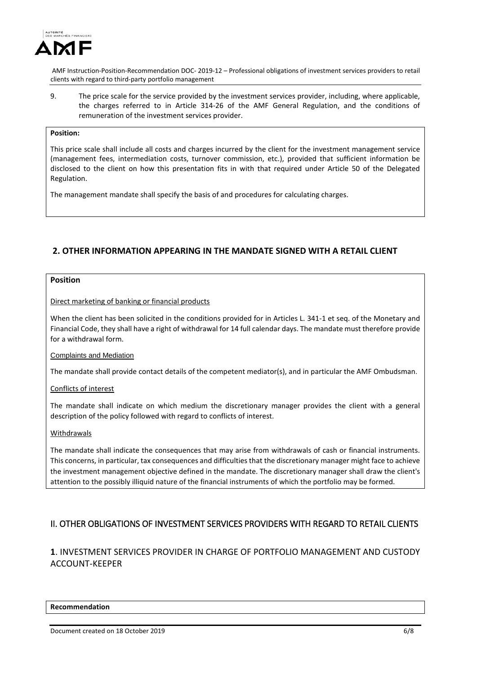

9. The price scale for the service provided by the investment services provider, including, where applicable, the charges referred to in Article 314-26 of the AMF General Regulation, and the conditions of remuneration of the investment services provider.

## **Position:**

This price scale shall include all costs and charges incurred by the client for the investment management service (management fees, intermediation costs, turnover commission, etc.), provided that sufficient information be disclosed to the client on how this presentation fits in with that required under Article 50 of the Delegated Regulation.

The management mandate shall specify the basis of and procedures for calculating charges.

# **2. OTHER INFORMATION APPEARING IN THE MANDATE SIGNED WITH A RETAIL CLIENT**

## **Position**

### Direct marketing of banking or financial products

When the client has been solicited in the conditions provided for in Articles L. 341-1 et seq. of the Monetary and Financial Code, they shall have a right of withdrawal for 14 full calendar days. The mandate must therefore provide for a withdrawal form.

### Complaints and Mediation

The mandate shall provide contact details of the competent mediator(s), and in particular the AMF Ombudsman.

### Conflicts of interest

The mandate shall indicate on which medium the discretionary manager provides the client with a general description of the policy followed with regard to conflicts of interest.

### Withdrawals

The mandate shall indicate the consequences that may arise from withdrawals of cash or financial instruments. This concerns, in particular, tax consequences and difficulties that the discretionary manager might face to achieve the investment management objective defined in the mandate. The discretionary manager shall draw the client's attention to the possibly illiquid nature of the financial instruments of which the portfolio may be formed.

# II. OTHER OBLIGATIONS OF INVESTMENT SERVICES PROVIDERS WITH REGARD TO RETAIL CLIENTS

# **1**. INVESTMENT SERVICES PROVIDER IN CHARGE OF PORTFOLIO MANAGEMENT AND CUSTODY ACCOUNT-KEEPER

#### **Recommendation**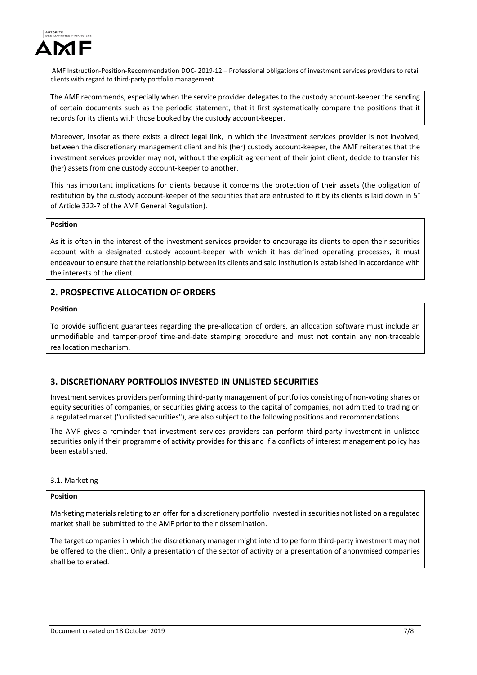

The AMF recommends, especially when the service provider delegates to the custody account-keeper the sending of certain documents such as the periodic statement, that it first systematically compare the positions that it records for its clients with those booked by the custody account-keeper.

Moreover, insofar as there exists a direct legal link, in which the investment services provider is not involved, between the discretionary management client and his (her) custody account-keeper, the AMF reiterates that the investment services provider may not, without the explicit agreement of their joint client, decide to transfer his (her) assets from one custody account-keeper to another.

This has important implications for clients because it concerns the protection of their assets (the obligation of restitution by the custody account-keeper of the securities that are entrusted to it by its clients is laid down in 5° of Article 322-7 of the AMF General Regulation).

## **Position**

As it is often in the interest of the investment services provider to encourage its clients to open their securities account with a designated custody account-keeper with which it has defined operating processes, it must endeavour to ensure that the relationship between its clients and said institution is established in accordance with the interests of the client.

## **2. PROSPECTIVE ALLOCATION OF ORDERS**

## **Position**

To provide sufficient guarantees regarding the pre-allocation of orders, an allocation software must include an unmodifiable and tamper-proof time-and-date stamping procedure and must not contain any non-traceable reallocation mechanism.

## **3. DISCRETIONARY PORTFOLIOS INVESTED IN UNLISTED SECURITIES**

Investment services providers performing third-party management of portfolios consisting of non-voting shares or equity securities of companies, or securities giving access to the capital of companies, not admitted to trading on a regulated market ("unlisted securities"), are also subject to the following positions and recommendations.

The AMF gives a reminder that investment services providers can perform third-party investment in unlisted securities only if their programme of activity provides for this and if a conflicts of interest management policy has been established.

### 3.1. Marketing

## **Position**

Marketing materials relating to an offer for a discretionary portfolio invested in securities not listed on a regulated market shall be submitted to the AMF prior to their dissemination.

The target companies in which the discretionary manager might intend to perform third-party investment may not be offered to the client. Only a presentation of the sector of activity or a presentation of anonymised companies shall be tolerated.